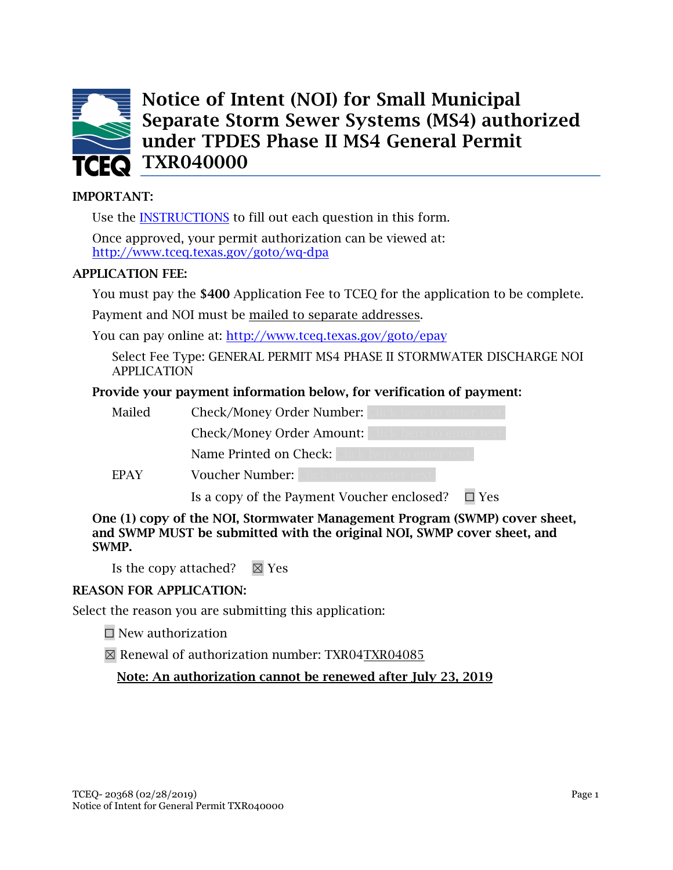

Notice of Intent (NOI) for Small Municipal Separate Storm Sewer Systems (MS4) authorized under TPDES Phase II MS4 General Permit **TCEO** TXR040000

### IMPORTANT:

Use the [INSTRUCTIONS](#page-17-0) to fill out each question in this form.

Once approved, your permit authorization can be viewed at: <http://www.tceq.texas.gov/goto/wq-dpa>

#### APPLICATION FEE:

You must pay the \$400 Application Fee to TCEQ for the application to be complete.

Payment and NOI must be mailed to separate addresses.

You can pay online at: <http://www.tceq.texas.gov/goto/epay>

Select Fee Type: GENERAL PERMIT MS4 PHASE II STORMWATER DISCHARGE NOI APPLICATION

### Provide your payment information below, for verification of payment:

| Mailed      | Check/Money Order Number:                                |
|-------------|----------------------------------------------------------|
|             | Check/Money Order Amount:                                |
|             | Name Printed on Check:                                   |
| <b>FPAY</b> | Voucher Number:                                          |
|             | Is a copy of the Payment Voucher enclosed?<br>$\Box$ Yes |

One (1) copy of the NOI, Stormwater Management Program (SWMP) cover sheet, and SWMP MUST be submitted with the original NOI, SWMP cover sheet, and SWMP.

Is the copy attached?  $\boxtimes$  Yes

#### REASON FOR APPLICATION:

Select the reason you are submitting this application:

 $\Box$  New authorization

☒ Renewal of authorization number: TXR04TXR04085

Note: An authorization cannot be renewed after July 23, 2019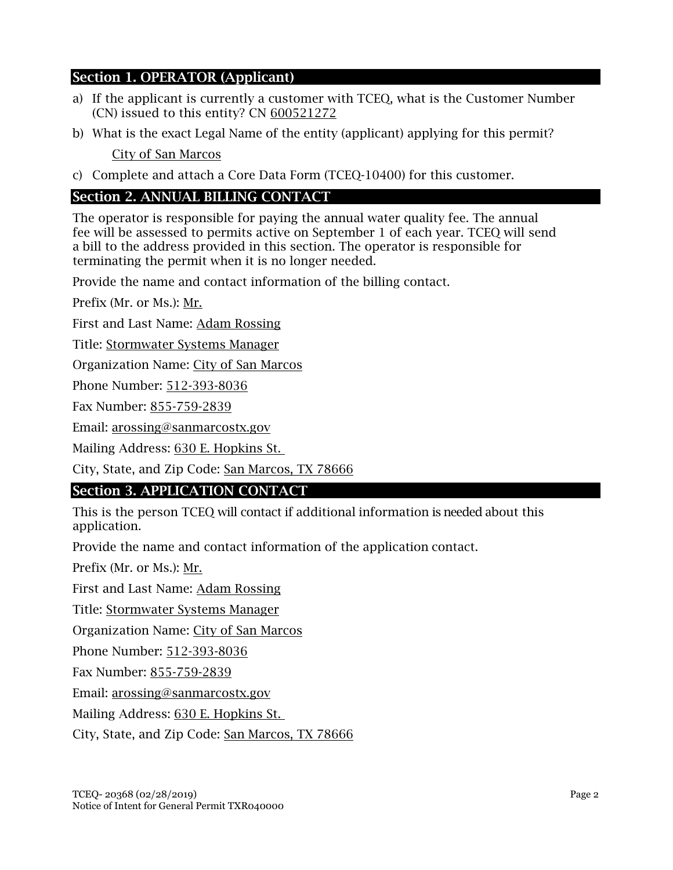# Section 1. OPERATOR (Applicant)

- a) If the applicant is currently a customer with TCEQ, what is the Customer Number (CN) issued to this entity? CN 600521272
- b) What is the exact Legal Name of the entity (applicant) applying for this permit? City of San Marcos
- c) Complete and attach a Core Data Form (TCEQ-10400) for this customer.

# Section 2. ANNUAL BILLING CONTACT

The operator is responsible for paying the annual water quality fee. The annual fee will be assessed to permits active on September 1 of each year. TCEQ will send a bill to the address provided in this section. The operator is responsible for terminating the permit when it is no longer needed.

Provide the name and contact information of the billing contact.

Prefix (Mr. or Ms.): Mr.

First and Last Name: Adam Rossing

Title: Stormwater Systems Manager

Organization Name: City of San Marcos

Phone Number: 512-393-8036

Fax Number: 855-759-2839

Email: arossing@sanmarcostx.gov

Mailing Address: 630 E. Hopkins St.

City, State, and Zip Code: San Marcos, TX 78666

# Section 3. APPLICATION CONTACT

This is the person TCEQ will contact if additional information is needed about this application.

Provide the name and contact information of the application contact.

Prefix (Mr. or Ms.): Mr.

First and Last Name: Adam Rossing

Title: Stormwater Systems Manager

Organization Name: City of San Marcos

Phone Number: 512-393-8036

Fax Number: 855-759-2839

Email: arossing@sanmarcostx.gov

Mailing Address: 630 E. Hopkins St.

City, State, and Zip Code: San Marcos, TX 78666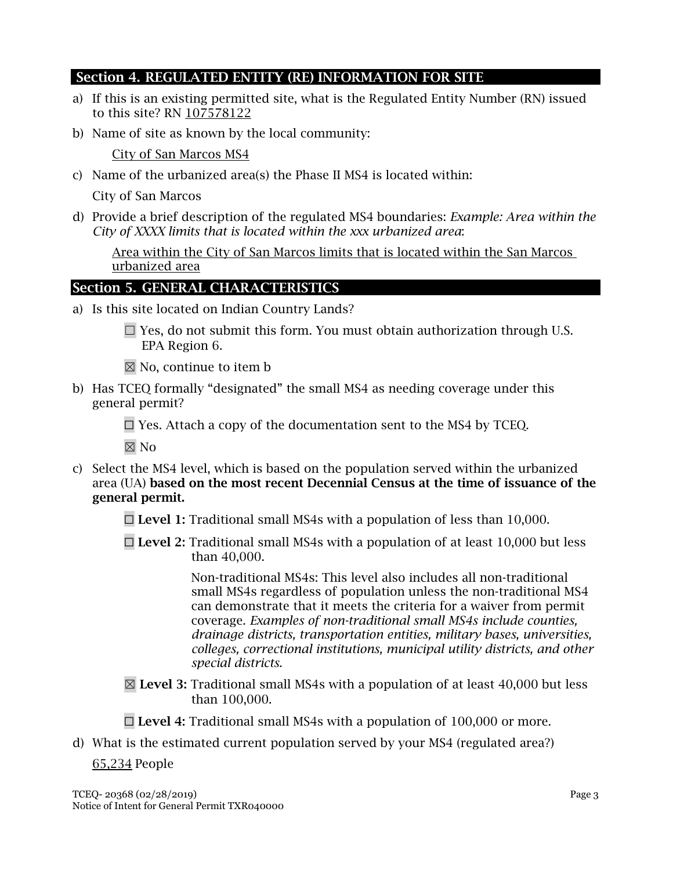# Section 4. REGULATED ENTITY (RE) INFORMATION FOR SITE

- a) If this is an existing permitted site, what is the Regulated Entity Number (RN) issued to this site? RN 107578122
- b) Name of site as known by the local community:

City of San Marcos MS4

c) Name of the urbanized area(s) the Phase II MS4 is located within:

City of San Marcos

d) Provide a brief description of the regulated MS4 boundaries: *Example: Area within the City of XXXX limits that is located within the xxx urbanized area*:

Area within the City of San Marcos limits that is located within the San Marcos urbanized area

# Section 5. GENERAL CHARACTERISTICS

- a) Is this site located on Indian Country Lands?
	- $\Box$  Yes, do not submit this form. You must obtain authorization through U.S. EPA Region 6.
	- $\boxtimes$  No, continue to item b
- b) Has TCEQ formally "designated" the small MS4 as needing coverage under this general permit?

 $\Box$  Yes. Attach a copy of the documentation sent to the MS4 by TCEO.

 $\boxtimes$  No

- c) Select the MS4 level, which is based on the population served within the urbanized area (UA) based on the most recent Decennial Census at the time of issuance of the general permit.
	- $\Box$  Level 1: Traditional small MS4s with a population of less than 10,000.
	- $\Box$  Level 2: Traditional small MS4s with a population of at least 10,000 but less than 40,000.

Non-traditional MS4s: This level also includes all non-traditional small MS4s regardless of population unless the non-traditional MS4 can demonstrate that it meets the criteria for a waiver from permit coverage. *Examples of non-traditional small MS4s include counties, drainage districts, transportation entities, military bases, universities, colleges, correctional institutions, municipal utility districts, and other special districts.*

- $\boxtimes$  Level 3: Traditional small MS4s with a population of at least 40,000 but less than 100,000.
- $\Box$  Level 4: Traditional small MS4s with a population of 100,000 or more.
- d) What is the estimated current population served by your MS4 (regulated area?)

65,234 People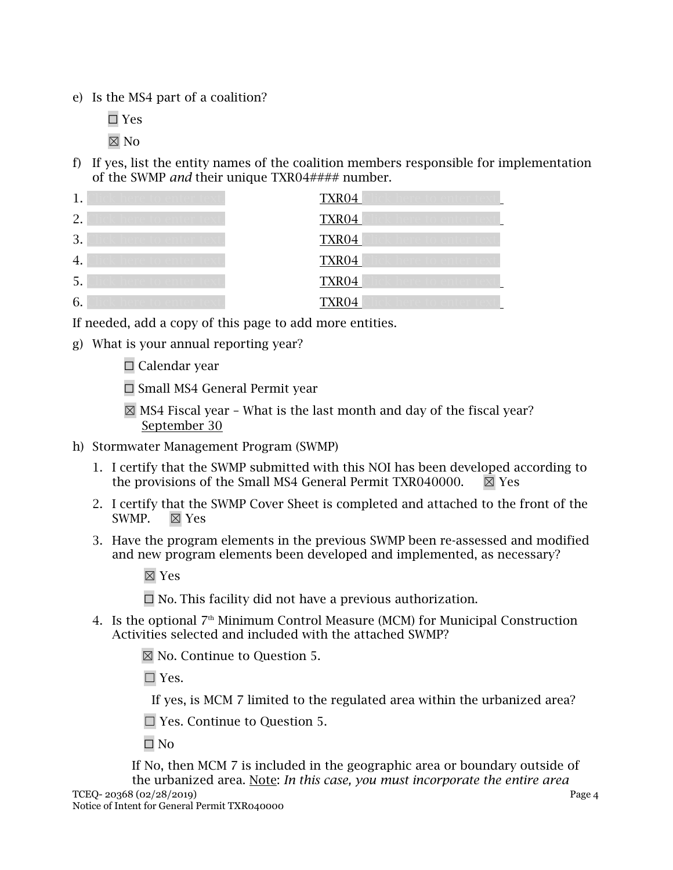e) Is the MS4 part of a coalition?

☐ Yes

 $\boxtimes$  No

f) If yes, list the entity names of the coalition members responsible for implementation of the SWMP *and* their unique TXR04#### number.

| 1.            | <b>TXR04</b> |
|---------------|--------------|
| $\mathcal{D}$ | <b>TXR04</b> |
| 3.            | TXR04        |
| 4.            | TXR04        |
| 5.            | TXR04        |
| 6.            | TXR04        |

If needed, add a copy of this page to add more entities.

- g) What is your annual reporting year?
	- ☐ Calendar year
	- ☐ Small MS4 General Permit year
	- $\boxtimes$  MS4 Fiscal year What is the last month and day of the fiscal year? September 30
- h) Stormwater Management Program (SWMP)
	- 1. I certify that the SWMP submitted with this NOI has been developed according to the provisions of the Small MS4 General Permit TXR040000.  $\boxtimes$  Yes
	- 2. I certify that the SWMP Cover Sheet is completed and attached to the front of the SWMP.  $\boxtimes$  Yes
	- 3. Have the program elements in the previous SWMP been re-assessed and modified and new program elements been developed and implemented, as necessary?
		- ☒ Yes
		- $\Box$  No. This facility did not have a previous authorization.
	- 4. Is the optional  $7<sup>th</sup>$  Minimum Control Measure (MCM) for Municipal Construction Activities selected and included with the attached SWMP?
		- ☒ No. Continue to Question 5.
		- ☐ Yes.

If yes, is MCM 7 limited to the regulated area within the urbanized area?

☐ Yes. Continue to Question 5.

 $\square$  No

If No, then MCM 7 is included in the geographic area or boundary outside of the urbanized area. Note: *In this case, you must incorporate the entire area*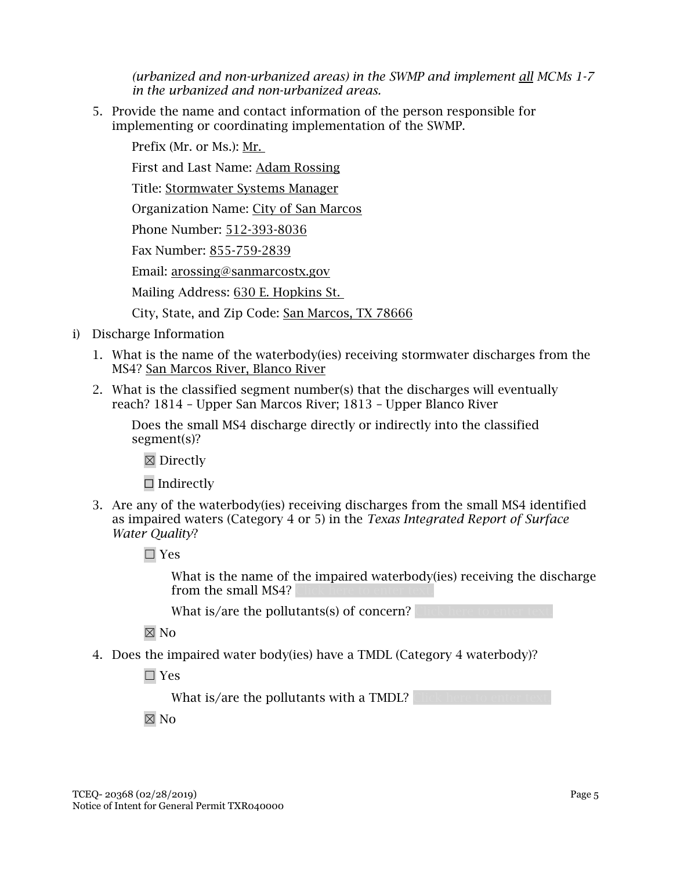*(urbanized and non-urbanized areas) in the SWMP and implement all MCMs 1-7 in the urbanized and non-urbanized areas.*

5. Provide the name and contact information of the person responsible for implementing or coordinating implementation of the SWMP.

Prefix (Mr. or Ms.): Mr.

First and Last Name: Adam Rossing

Title: Stormwater Systems Manager

Organization Name: City of San Marcos

Phone Number: 512-393-8036

Fax Number: 855-759-2839

Email: arossing@sanmarcostx.gov

Mailing Address: 630 E. Hopkins St.

City, State, and Zip Code: San Marcos, TX 78666

- i) Discharge Information
	- 1. What is the name of the waterbody(ies) receiving stormwater discharges from the MS4? San Marcos River, Blanco River
	- 2. What is the classified segment number(s) that the discharges will eventually reach? 1814 – Upper San Marcos River; 1813 – Upper Blanco River

Does the small MS4 discharge directly or indirectly into the classified segment(s)?

☒ Directly

 $\Box$  Indirectly

- 3. Are any of the waterbody(ies) receiving discharges from the small MS4 identified as impaired waters (Category 4 or 5) in the *Texas Integrated Report of Surface Water Quality*?
	- ☐ Yes

What is the name of the impaired waterbody(ies) receiving the discharge from the small MS4?

What is/are the pollutants (s) of concern?

 $\boxtimes$  No

4. Does the impaired water body(ies) have a TMDL (Category 4 waterbody)?

☐ Yes

What is/are the pollutants with a TMDL?

☒ No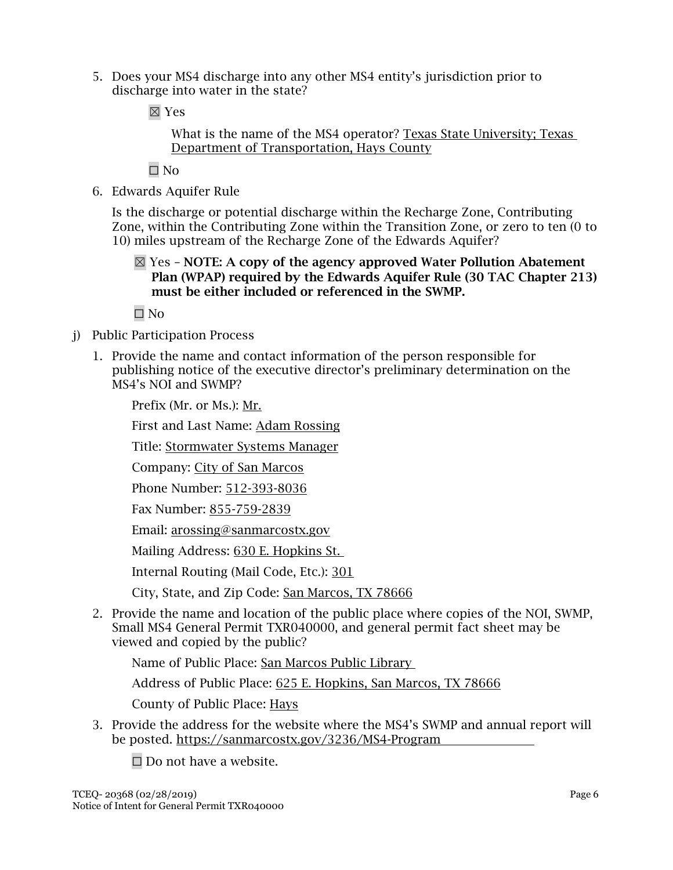5. Does your MS4 discharge into any other MS4 entity's jurisdiction prior to discharge into water in the state?

☒ Yes

What is the name of the MS4 operator? Texas State University; Texas Department of Transportation, Hays County

☐ No

6. Edwards Aquifer Rule

Is the discharge or potential discharge within the Recharge Zone, Contributing Zone, within the Contributing Zone within the Transition Zone, or zero to ten (0 to 10) miles upstream of the Recharge Zone of the Edwards Aquifer?

 $\boxtimes$  Yes – NOTE: A copy of the agency approved Water Pollution Abatement Plan (WPAP) required by the Edwards Aquifer Rule (30 TAC Chapter 213) must be either included or referenced in the SWMP.

☐ No

- j) Public Participation Process
	- 1. Provide the name and contact information of the person responsible for publishing notice of the executive director's preliminary determination on the MS4's NOI and SWMP?

Prefix (Mr. or Ms.): Mr.

First and Last Name: Adam Rossing

Title: Stormwater Systems Manager

Company: City of San Marcos

Phone Number: 512-393-8036

Fax Number: 855-759-2839

Email: arossing@sanmarcostx.gov

Mailing Address: 630 E. Hopkins St.

Internal Routing (Mail Code, Etc.): 301

City, State, and Zip Code: San Marcos, TX 78666

2. Provide the name and location of the public place where copies of the NOI, SWMP, Small MS4 General Permit TXR040000, and general permit fact sheet may be viewed and copied by the public?

Name of Public Place: San Marcos Public Library

Address of Public Place: 625 E. Hopkins, San Marcos, TX 78666

County of Public Place: Hays

3. Provide the address for the website where the MS4's SWMP and annual report will be posted. https://sanmarcostx.gov/3236/MS4-Program

 $\Box$  Do not have a website.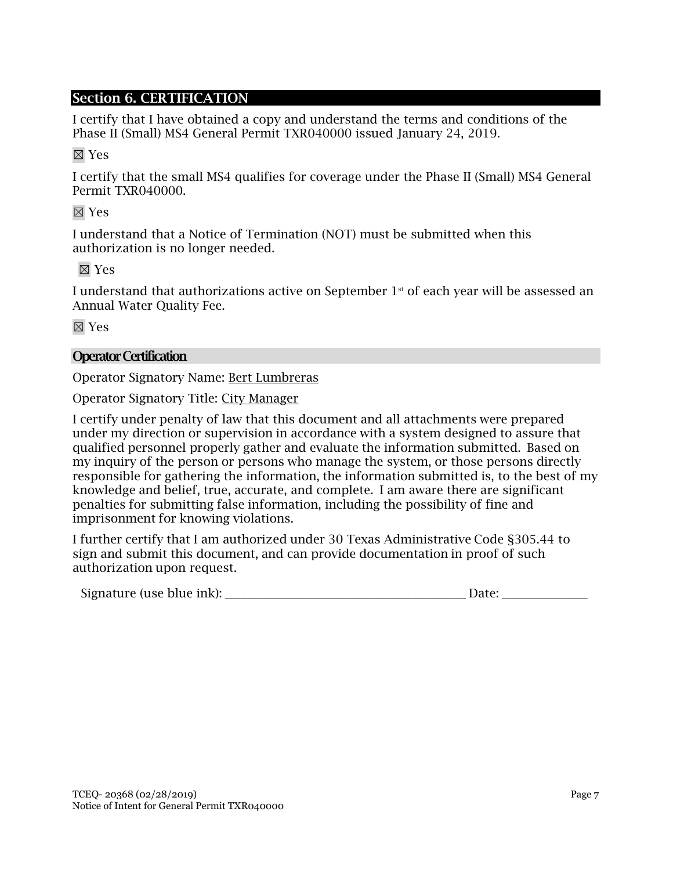# Section 6. CERTIFICATION

I certify that I have obtained a copy and understand the terms and conditions of the Phase II (Small) MS4 General Permit TXR040000 issued January 24, 2019.

☒ Yes

I certify that the small MS4 qualifies for coverage under the Phase II (Small) MS4 General Permit TXR040000.

☒ Yes

I understand that a Notice of Termination (NOT) must be submitted when this authorization is no longer needed.

☒ Yes

I understand that authorizations active on September  $1<sup>st</sup>$  of each year will be assessed an Annual Water Quality Fee.

☒ Yes

### **Operator Certification**

Operator Signatory Name: Bert Lumbreras

Operator Signatory Title: City Manager

I certify under penalty of law that this document and all attachments were prepared under my direction or supervision in accordance with a system designed to assure that qualified personnel properly gather and evaluate the information submitted. Based on my inquiry of the person or persons who manage the system, or those persons directly responsible for gathering the information, the information submitted is, to the best of my knowledge and belief, true, accurate, and complete. I am aware there are significant penalties for submitting false information, including the possibility of fine and imprisonment for knowing violations.

I further certify that I am authorized under 30 Texas Administrative Code §305.44 to sign and submit this document, and can provide documentation in proof of such authorization upon request.

| Signature (use blue ink): |  |
|---------------------------|--|
|---------------------------|--|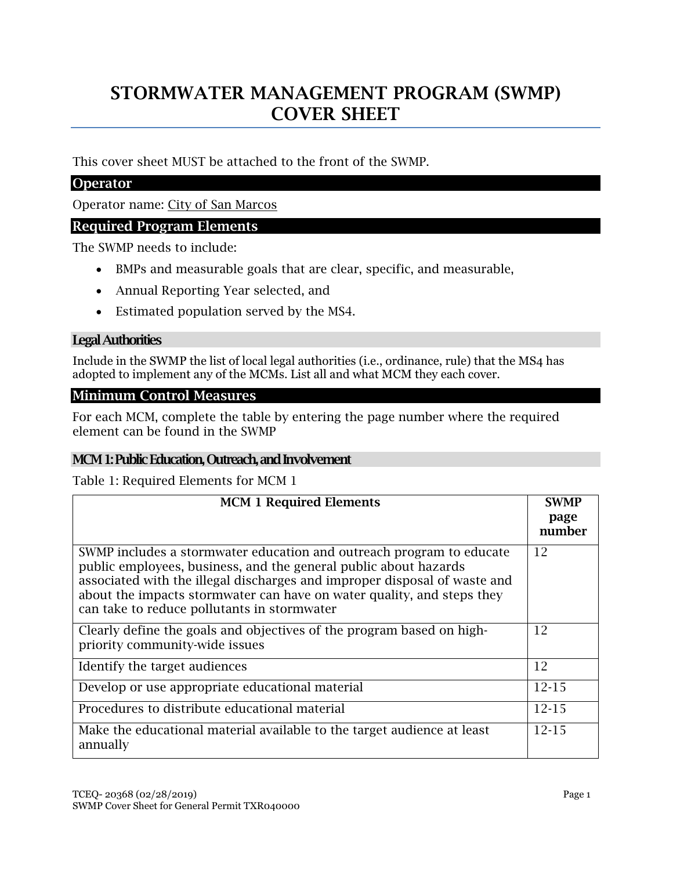# STORMWATER MANAGEMENT PROGRAM (SWMP) COVER SHEET

This cover sheet MUST be attached to the front of the SWMP.

# **Operator**

Operator name: City of San Marcos

### Required Program Elements

The SWMP needs to include:

- BMPs and measurable goals that are clear, specific, and measurable,
- Annual Reporting Year selected, and
- Estimated population served by the MS4.

### Legal Authorities

Include in the SWMP the list of local legal authorities (i.e., ordinance, rule) that the MS4 has adopted to implement any of the MCMs. List all and what MCM they each cover.

#### Minimum Control Measures

For each MCM, complete the table by entering the page number where the required element can be found in the SWMP

#### MCM 1: Public Education, Outreach, and Involvement

Table 1: Required Elements for MCM 1

| <b>MCM 1 Required Elements</b>                                                                                                                                                                                                                                                                                                                 | <b>SWMP</b><br>page<br>number |
|------------------------------------------------------------------------------------------------------------------------------------------------------------------------------------------------------------------------------------------------------------------------------------------------------------------------------------------------|-------------------------------|
| SWMP includes a stormwater education and outreach program to educate<br>public employees, business, and the general public about hazards<br>associated with the illegal discharges and improper disposal of waste and<br>about the impacts stormwater can have on water quality, and steps they<br>can take to reduce pollutants in stormwater | 12                            |
| Clearly define the goals and objectives of the program based on high-<br>priority community-wide issues                                                                                                                                                                                                                                        | 12                            |
| Identify the target audiences                                                                                                                                                                                                                                                                                                                  | 12                            |
| Develop or use appropriate educational material                                                                                                                                                                                                                                                                                                | $12 - 15$                     |
| Procedures to distribute educational material                                                                                                                                                                                                                                                                                                  | $12 - 15$                     |
| Make the educational material available to the target audience at least<br>annually                                                                                                                                                                                                                                                            | $12 - 15$                     |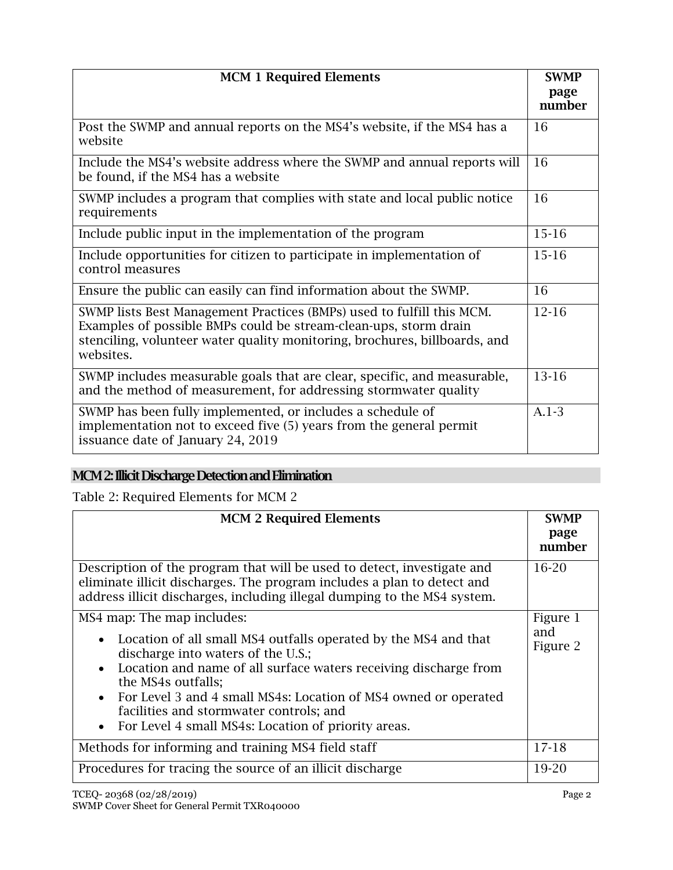| <b>MCM 1 Required Elements</b>                                                                                                                                                                                                       | <b>SWMP</b><br>page |
|--------------------------------------------------------------------------------------------------------------------------------------------------------------------------------------------------------------------------------------|---------------------|
|                                                                                                                                                                                                                                      | number              |
| Post the SWMP and annual reports on the MS4's website, if the MS4 has a<br>website                                                                                                                                                   | 16                  |
| Include the MS4's website address where the SWMP and annual reports will<br>be found, if the MS4 has a website                                                                                                                       | 16                  |
| SWMP includes a program that complies with state and local public notice<br>requirements                                                                                                                                             | 16                  |
| Include public input in the implementation of the program                                                                                                                                                                            | $15 - 16$           |
| Include opportunities for citizen to participate in implementation of<br>control measures                                                                                                                                            | $15-16$             |
| Ensure the public can easily can find information about the SWMP.                                                                                                                                                                    | 16                  |
| SWMP lists Best Management Practices (BMPs) used to fulfill this MCM.<br>Examples of possible BMPs could be stream-clean-ups, storm drain<br>stenciling, volunteer water quality monitoring, brochures, billboards, and<br>websites. | $12 - 16$           |
| SWMP includes measurable goals that are clear, specific, and measurable,<br>and the method of measurement, for addressing stormwater quality                                                                                         | 13-16               |
| SWMP has been fully implemented, or includes a schedule of<br>implementation not to exceed five (5) years from the general permit<br>issuance date of January 24, 2019                                                               | $A.1-3$             |

# MCM 2: Illicit Discharge Detection and Elimination

Table 2: Required Elements for MCM 2

| <b>MCM 2 Required Elements</b>                                                                                                                                                                                                                                                                                                                                                                                                            | <b>SWMP</b><br>page<br>number |
|-------------------------------------------------------------------------------------------------------------------------------------------------------------------------------------------------------------------------------------------------------------------------------------------------------------------------------------------------------------------------------------------------------------------------------------------|-------------------------------|
| Description of the program that will be used to detect, investigate and<br>eliminate illicit discharges. The program includes a plan to detect and<br>address illicit discharges, including illegal dumping to the MS4 system.                                                                                                                                                                                                            | $16-20$                       |
| MS4 map: The map includes:<br>Location of all small MS4 outfalls operated by the MS4 and that<br>$\bullet$<br>discharge into waters of the U.S.;<br>Location and name of all surface waters receiving discharge from<br>$\bullet$<br>the MS4s outfalls;<br>For Level 3 and 4 small MS4s: Location of MS4 owned or operated<br>$\bullet$<br>facilities and stormwater controls; and<br>For Level 4 small MS4s: Location of priority areas. | Figure 1<br>and<br>Figure 2   |
| Methods for informing and training MS4 field staff                                                                                                                                                                                                                                                                                                                                                                                        | $17-18$                       |
| Procedures for tracing the source of an illicit discharge                                                                                                                                                                                                                                                                                                                                                                                 | 19-20                         |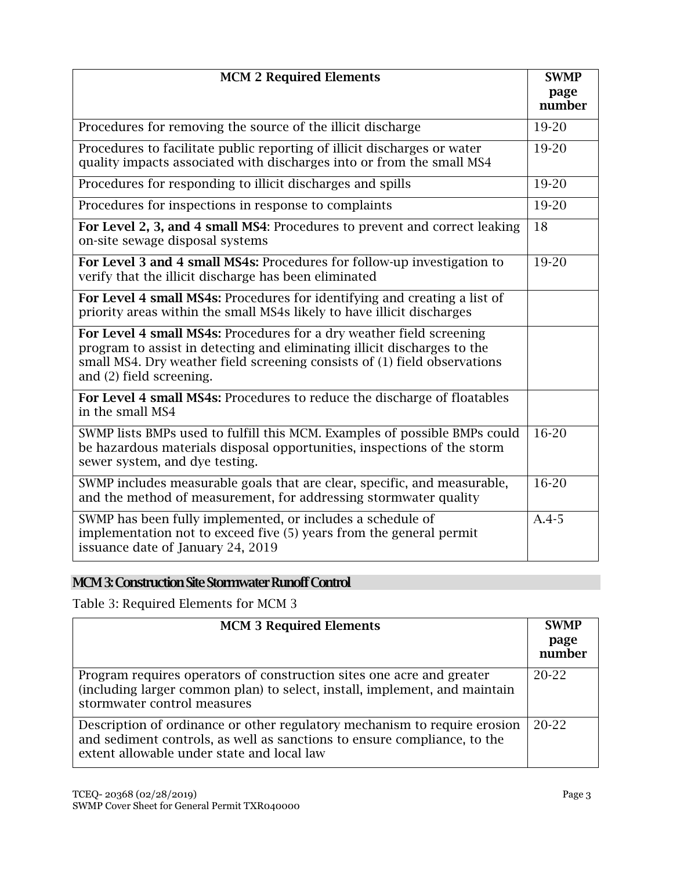| <b>MCM 2 Required Elements</b>                                                                                                                                                                                                                            | <b>SWMP</b>    |
|-----------------------------------------------------------------------------------------------------------------------------------------------------------------------------------------------------------------------------------------------------------|----------------|
|                                                                                                                                                                                                                                                           | page<br>number |
| Procedures for removing the source of the illicit discharge                                                                                                                                                                                               | 19-20          |
| Procedures to facilitate public reporting of illicit discharges or water<br>quality impacts associated with discharges into or from the small MS4                                                                                                         | 19-20          |
| Procedures for responding to illicit discharges and spills                                                                                                                                                                                                | 19-20          |
| Procedures for inspections in response to complaints                                                                                                                                                                                                      | 19-20          |
| For Level 2, 3, and 4 small MS4: Procedures to prevent and correct leaking<br>on-site sewage disposal systems                                                                                                                                             | 18             |
| For Level 3 and 4 small MS4s: Procedures for follow-up investigation to<br>verify that the illicit discharge has been eliminated                                                                                                                          | 19-20          |
| For Level 4 small MS4s: Procedures for identifying and creating a list of<br>priority areas within the small MS4s likely to have illicit discharges                                                                                                       |                |
| For Level 4 small MS4s: Procedures for a dry weather field screening<br>program to assist in detecting and eliminating illicit discharges to the<br>small MS4. Dry weather field screening consists of (1) field observations<br>and (2) field screening. |                |
| For Level 4 small MS4s: Procedures to reduce the discharge of floatables<br>in the small MS4                                                                                                                                                              |                |
| SWMP lists BMPs used to fulfill this MCM. Examples of possible BMPs could<br>be hazardous materials disposal opportunities, inspections of the storm<br>sewer system, and dye testing.                                                                    | 16-20          |
| SWMP includes measurable goals that are clear, specific, and measurable,<br>and the method of measurement, for addressing stormwater quality                                                                                                              | 16-20          |
| SWMP has been fully implemented, or includes a schedule of<br>implementation not to exceed five (5) years from the general permit<br>issuance date of January 24, 2019                                                                                    | $A.4-5$        |

# MCM 3: Construction Site Stormwater Runoff Control

Table 3: Required Elements for MCM 3

| <b>MCM 3 Required Elements</b>                                                                                                                                                                      | <b>SWMP</b><br>page<br>number |
|-----------------------------------------------------------------------------------------------------------------------------------------------------------------------------------------------------|-------------------------------|
| Program requires operators of construction sites one acre and greater<br>(including larger common plan) to select, install, implement, and maintain<br>stormwater control measures                  | 20-22                         |
| Description of ordinance or other regulatory mechanism to require erosion<br>and sediment controls, as well as sanctions to ensure compliance, to the<br>extent allowable under state and local law | 20-22                         |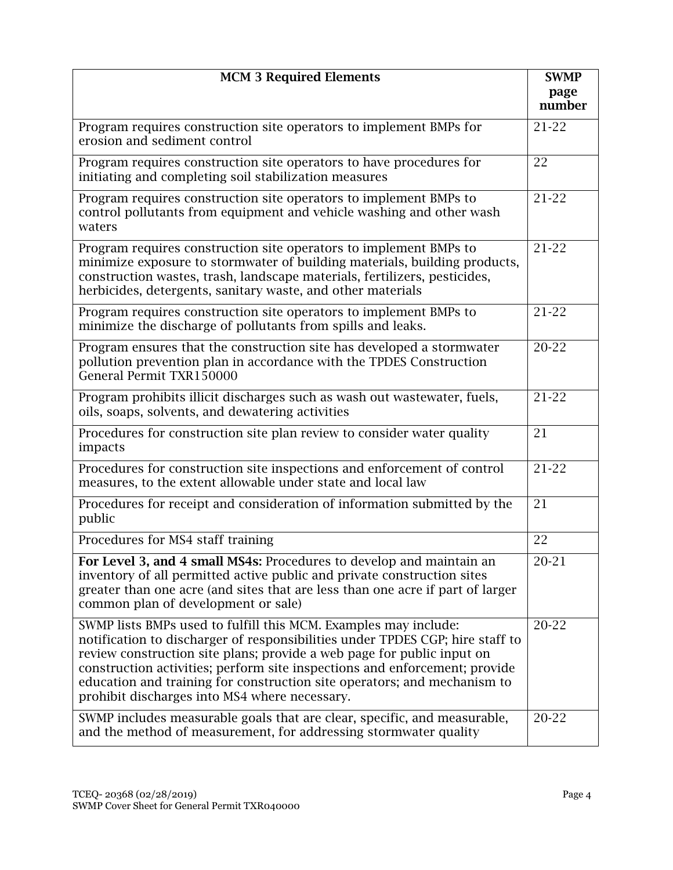| <b>MCM 3 Required Elements</b>                                                                                                                                                                                                                                                                                                                                                                                                        | <b>SWMP</b>        |
|---------------------------------------------------------------------------------------------------------------------------------------------------------------------------------------------------------------------------------------------------------------------------------------------------------------------------------------------------------------------------------------------------------------------------------------|--------------------|
|                                                                                                                                                                                                                                                                                                                                                                                                                                       | page<br>number     |
| Program requires construction site operators to implement BMPs for<br>erosion and sediment control                                                                                                                                                                                                                                                                                                                                    | $21 - 22$          |
| Program requires construction site operators to have procedures for<br>initiating and completing soil stabilization measures                                                                                                                                                                                                                                                                                                          | 22                 |
| Program requires construction site operators to implement BMPs to<br>control pollutants from equipment and vehicle washing and other wash<br>waters                                                                                                                                                                                                                                                                                   | $21-22$            |
| Program requires construction site operators to implement BMPs to<br>minimize exposure to stormwater of building materials, building products,<br>construction wastes, trash, landscape materials, fertilizers, pesticides,<br>herbicides, detergents, sanitary waste, and other materials                                                                                                                                            | $21-22$            |
| Program requires construction site operators to implement BMPs to<br>minimize the discharge of pollutants from spills and leaks.                                                                                                                                                                                                                                                                                                      | 21-22              |
| Program ensures that the construction site has developed a stormwater<br>pollution prevention plan in accordance with the TPDES Construction<br>General Permit TXR150000                                                                                                                                                                                                                                                              | 20-22              |
| Program prohibits illicit discharges such as wash out wastewater, fuels,<br>oils, soaps, solvents, and dewatering activities                                                                                                                                                                                                                                                                                                          | $21 - 22$          |
| Procedures for construction site plan review to consider water quality<br>impacts                                                                                                                                                                                                                                                                                                                                                     | 21                 |
| Procedures for construction site inspections and enforcement of control<br>measures, to the extent allowable under state and local law                                                                                                                                                                                                                                                                                                | $21-22$            |
| Procedures for receipt and consideration of information submitted by the<br>public                                                                                                                                                                                                                                                                                                                                                    | 21                 |
| Procedures for MS4 staff training                                                                                                                                                                                                                                                                                                                                                                                                     | 22                 |
| For Level 3, and 4 small MS4s: Procedures to develop and maintain an<br>inventory of all permitted active public and private construction sites<br>greater than one acre (and sites that are less than one acre if part of larger<br>common plan of development or sale)                                                                                                                                                              | $\overline{20-21}$ |
| SWMP lists BMPs used to fulfill this MCM. Examples may include:<br>notification to discharger of responsibilities under TPDES CGP; hire staff to<br>review construction site plans; provide a web page for public input on<br>construction activities; perform site inspections and enforcement; provide<br>education and training for construction site operators; and mechanism to<br>prohibit discharges into MS4 where necessary. | 20-22              |
| SWMP includes measurable goals that are clear, specific, and measurable,<br>and the method of measurement, for addressing stormwater quality                                                                                                                                                                                                                                                                                          | 20-22              |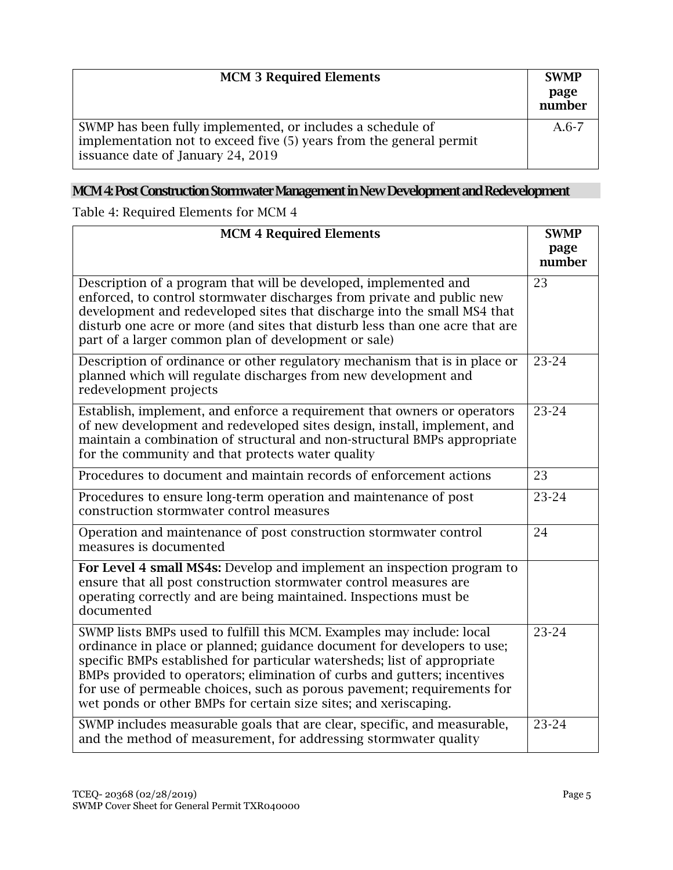| <b>MCM 3 Required Elements</b>                                                                                                                                         | <b>SWMP</b><br>page<br>number |
|------------------------------------------------------------------------------------------------------------------------------------------------------------------------|-------------------------------|
| SWMP has been fully implemented, or includes a schedule of<br>implementation not to exceed five (5) years from the general permit<br>issuance date of January 24, 2019 | $A.6-7$                       |

# MCM 4: Post Construction Stormwater Management in New Development and Redevelopment

Table 4: Required Elements for MCM 4

| <b>MCM 4 Required Elements</b>                                                                                                                                                                                                                                                                                                                                                                                                                          | <b>SWMP</b> |
|---------------------------------------------------------------------------------------------------------------------------------------------------------------------------------------------------------------------------------------------------------------------------------------------------------------------------------------------------------------------------------------------------------------------------------------------------------|-------------|
|                                                                                                                                                                                                                                                                                                                                                                                                                                                         | page        |
|                                                                                                                                                                                                                                                                                                                                                                                                                                                         | number      |
| Description of a program that will be developed, implemented and<br>enforced, to control stormwater discharges from private and public new<br>development and redeveloped sites that discharge into the small MS4 that<br>disturb one acre or more (and sites that disturb less than one acre that are<br>part of a larger common plan of development or sale)                                                                                          | 23          |
| Description of ordinance or other regulatory mechanism that is in place or<br>planned which will regulate discharges from new development and<br>redevelopment projects                                                                                                                                                                                                                                                                                 | 23-24       |
| Establish, implement, and enforce a requirement that owners or operators<br>of new development and redeveloped sites design, install, implement, and<br>maintain a combination of structural and non-structural BMPs appropriate<br>for the community and that protects water quality                                                                                                                                                                   | 23-24       |
| Procedures to document and maintain records of enforcement actions                                                                                                                                                                                                                                                                                                                                                                                      | 23          |
| Procedures to ensure long-term operation and maintenance of post<br>construction stormwater control measures                                                                                                                                                                                                                                                                                                                                            | 23-24       |
| Operation and maintenance of post construction stormwater control<br>measures is documented                                                                                                                                                                                                                                                                                                                                                             | 24          |
| For Level 4 small MS4s: Develop and implement an inspection program to<br>ensure that all post construction stormwater control measures are<br>operating correctly and are being maintained. Inspections must be<br>documented                                                                                                                                                                                                                          |             |
| SWMP lists BMPs used to fulfill this MCM. Examples may include: local<br>ordinance in place or planned; guidance document for developers to use;<br>specific BMPs established for particular watersheds; list of appropriate<br>BMPs provided to operators; elimination of curbs and gutters; incentives<br>for use of permeable choices, such as porous pavement; requirements for<br>wet ponds or other BMPs for certain size sites; and xeriscaping. | 23-24       |
| SWMP includes measurable goals that are clear, specific, and measurable,<br>and the method of measurement, for addressing stormwater quality                                                                                                                                                                                                                                                                                                            | 23-24       |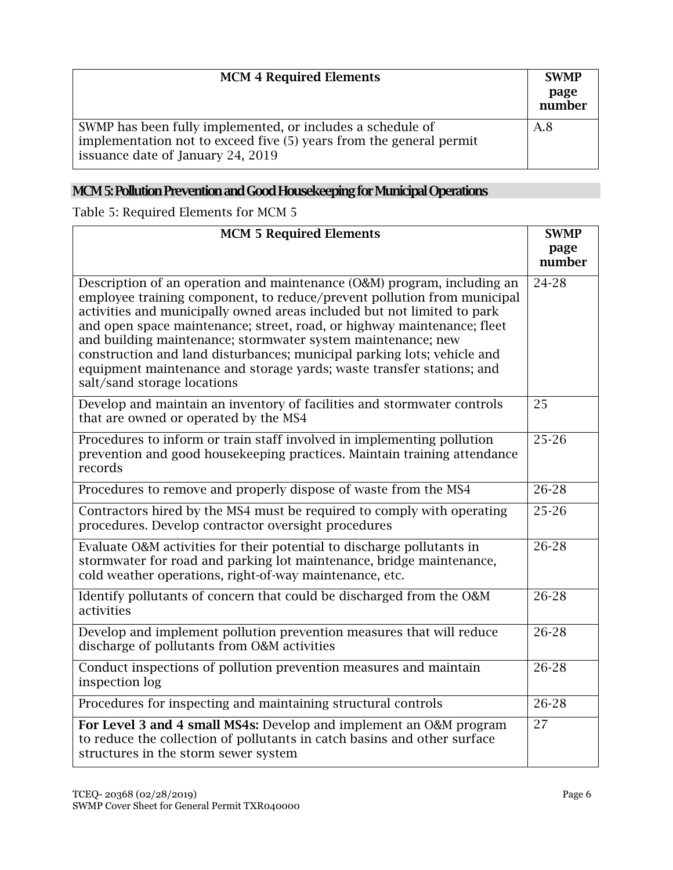| <b>MCM 4 Required Elements</b>                                                                                                                                         | <b>SWMP</b><br>page<br>number |
|------------------------------------------------------------------------------------------------------------------------------------------------------------------------|-------------------------------|
| SWMP has been fully implemented, or includes a schedule of<br>implementation not to exceed five (5) years from the general permit<br>issuance date of January 24, 2019 | A.8                           |

# MCM5: Pollution Prevention and Good Housekeeping for Municipal Operations

Table 5: Required Elements for MCM 5

| <b>MCM 5 Required Elements</b>                                                                                                                                                                                                                                                                                                                                                                                                                                                                                                                              | <b>SWMP</b>    |
|-------------------------------------------------------------------------------------------------------------------------------------------------------------------------------------------------------------------------------------------------------------------------------------------------------------------------------------------------------------------------------------------------------------------------------------------------------------------------------------------------------------------------------------------------------------|----------------|
|                                                                                                                                                                                                                                                                                                                                                                                                                                                                                                                                                             | page<br>number |
|                                                                                                                                                                                                                                                                                                                                                                                                                                                                                                                                                             |                |
| Description of an operation and maintenance (O&M) program, including an<br>employee training component, to reduce/prevent pollution from municipal<br>activities and municipally owned areas included but not limited to park<br>and open space maintenance; street, road, or highway maintenance; fleet<br>and building maintenance; stormwater system maintenance; new<br>construction and land disturbances; municipal parking lots; vehicle and<br>equipment maintenance and storage yards; waste transfer stations; and<br>salt/sand storage locations | 24-28          |
| Develop and maintain an inventory of facilities and stormwater controls<br>that are owned or operated by the MS4                                                                                                                                                                                                                                                                                                                                                                                                                                            | 25             |
| Procedures to inform or train staff involved in implementing pollution<br>prevention and good housekeeping practices. Maintain training attendance<br>records                                                                                                                                                                                                                                                                                                                                                                                               | $25 - 26$      |
| Procedures to remove and properly dispose of waste from the MS4                                                                                                                                                                                                                                                                                                                                                                                                                                                                                             | 26-28          |
| Contractors hired by the MS4 must be required to comply with operating<br>procedures. Develop contractor oversight procedures                                                                                                                                                                                                                                                                                                                                                                                                                               | $25 - 26$      |
| Evaluate O&M activities for their potential to discharge pollutants in<br>stormwater for road and parking lot maintenance, bridge maintenance,<br>cold weather operations, right-of-way maintenance, etc.                                                                                                                                                                                                                                                                                                                                                   | 26-28          |
| Identify pollutants of concern that could be discharged from the O&M<br>activities                                                                                                                                                                                                                                                                                                                                                                                                                                                                          | $26 - 28$      |
| Develop and implement pollution prevention measures that will reduce<br>discharge of pollutants from O&M activities                                                                                                                                                                                                                                                                                                                                                                                                                                         | $26 - 28$      |
| Conduct inspections of pollution prevention measures and maintain<br>inspection log                                                                                                                                                                                                                                                                                                                                                                                                                                                                         | $26 - 28$      |
| Procedures for inspecting and maintaining structural controls                                                                                                                                                                                                                                                                                                                                                                                                                                                                                               | 26-28          |
| For Level 3 and 4 small MS4s: Develop and implement an O&M program<br>to reduce the collection of pollutants in catch basins and other surface<br>structures in the storm sewer system                                                                                                                                                                                                                                                                                                                                                                      | 27             |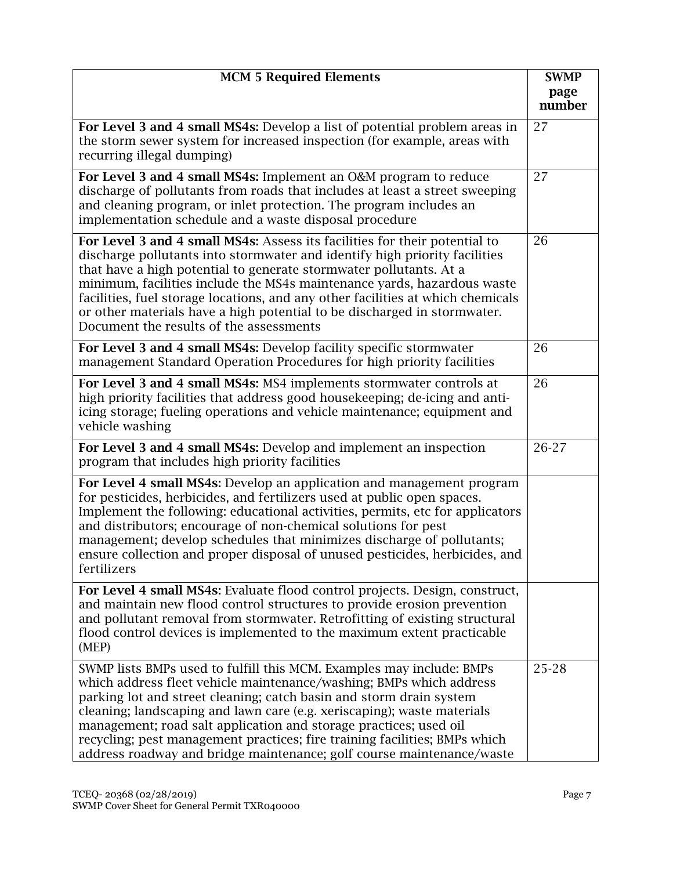| <b>MCM 5 Required Elements</b>                                                                                                                                                                                                                                                                                                                                                                                                                                                                                            |                |
|---------------------------------------------------------------------------------------------------------------------------------------------------------------------------------------------------------------------------------------------------------------------------------------------------------------------------------------------------------------------------------------------------------------------------------------------------------------------------------------------------------------------------|----------------|
|                                                                                                                                                                                                                                                                                                                                                                                                                                                                                                                           | page<br>number |
| For Level 3 and 4 small MS4s: Develop a list of potential problem areas in<br>the storm sewer system for increased inspection (for example, areas with<br>recurring illegal dumping)                                                                                                                                                                                                                                                                                                                                      | 27             |
| For Level 3 and 4 small MS4s: Implement an O&M program to reduce<br>discharge of pollutants from roads that includes at least a street sweeping<br>and cleaning program, or inlet protection. The program includes an<br>implementation schedule and a waste disposal procedure                                                                                                                                                                                                                                           | 27             |
| For Level 3 and 4 small MS4s: Assess its facilities for their potential to<br>discharge pollutants into stormwater and identify high priority facilities<br>that have a high potential to generate stormwater pollutants. At a<br>minimum, facilities include the MS4s maintenance yards, hazardous waste<br>facilities, fuel storage locations, and any other facilities at which chemicals<br>or other materials have a high potential to be discharged in stormwater.<br>Document the results of the assessments       | 26             |
| For Level 3 and 4 small MS4s: Develop facility specific stormwater<br>management Standard Operation Procedures for high priority facilities                                                                                                                                                                                                                                                                                                                                                                               | 26             |
| For Level 3 and 4 small MS4s: MS4 implements stormwater controls at<br>high priority facilities that address good housekeeping; de-icing and anti-<br>icing storage; fueling operations and vehicle maintenance; equipment and<br>vehicle washing                                                                                                                                                                                                                                                                         | 26             |
| For Level 3 and 4 small MS4s: Develop and implement an inspection<br>program that includes high priority facilities                                                                                                                                                                                                                                                                                                                                                                                                       | 26-27          |
| For Level 4 small MS4s: Develop an application and management program<br>for pesticides, herbicides, and fertilizers used at public open spaces.<br>Implement the following: educational activities, permits, etc for applicators<br>and distributors; encourage of non-chemical solutions for pest<br>management; develop schedules that minimizes discharge of pollutants;<br>ensure collection and proper disposal of unused pesticides, herbicides, and<br>fertilizers                                                |                |
| For Level 4 small MS4s: Evaluate flood control projects. Design, construct,<br>and maintain new flood control structures to provide erosion prevention<br>and pollutant removal from stormwater. Retrofitting of existing structural<br>flood control devices is implemented to the maximum extent practicable<br>(MEP)                                                                                                                                                                                                   |                |
| SWMP lists BMPs used to fulfill this MCM. Examples may include: BMPs<br>which address fleet vehicle maintenance/washing; BMPs which address<br>parking lot and street cleaning; catch basin and storm drain system<br>cleaning; landscaping and lawn care (e.g. xeriscaping); waste materials<br>management; road salt application and storage practices; used oil<br>recycling; pest management practices; fire training facilities; BMPs which<br>address roadway and bridge maintenance; golf course maintenance/waste | 25-28          |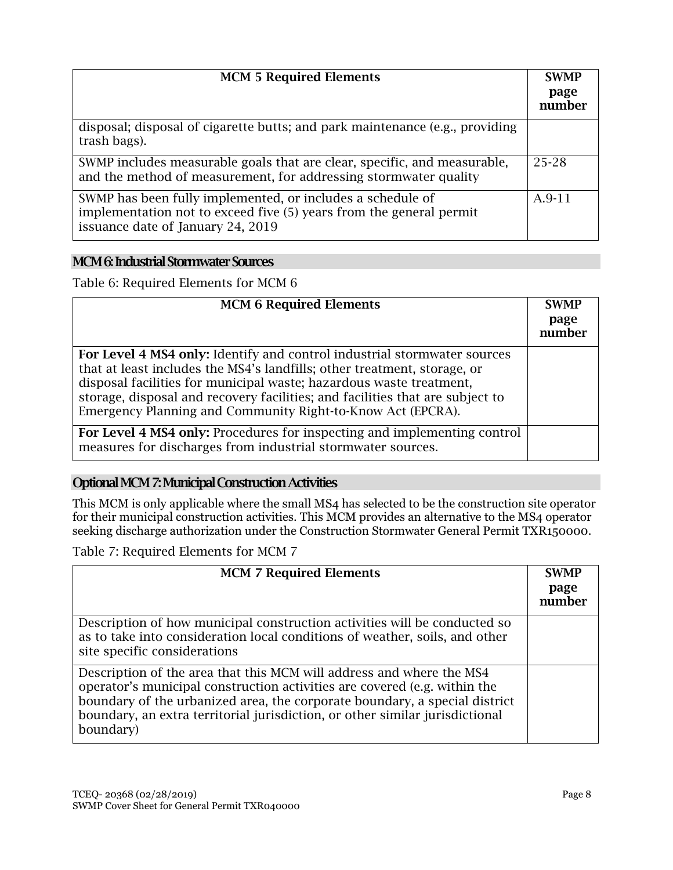| <b>MCM 5 Required Elements</b>                                                                                                                                         | <b>SWMP</b><br>page<br>number |
|------------------------------------------------------------------------------------------------------------------------------------------------------------------------|-------------------------------|
| disposal; disposal of cigarette butts; and park maintenance (e.g., providing<br>trash bags).                                                                           |                               |
| SWMP includes measurable goals that are clear, specific, and measurable,<br>and the method of measurement, for addressing stormwater quality                           | 25-28                         |
| SWMP has been fully implemented, or includes a schedule of<br>implementation not to exceed five (5) years from the general permit<br>issuance date of January 24, 2019 | A.9-11                        |

### MCM 6: Industrial Stormwater Sources

Table 6: Required Elements for MCM 6

| <b>MCM 6 Required Elements</b>                                                                                                                                                                                                                                                                                                                                              | <b>SWMP</b>    |
|-----------------------------------------------------------------------------------------------------------------------------------------------------------------------------------------------------------------------------------------------------------------------------------------------------------------------------------------------------------------------------|----------------|
|                                                                                                                                                                                                                                                                                                                                                                             | page<br>number |
| For Level 4 MS4 only: Identify and control industrial stormwater sources<br>that at least includes the MS4's landfills; other treatment, storage, or<br>disposal facilities for municipal waste; hazardous waste treatment,<br>storage, disposal and recovery facilities; and facilities that are subject to<br>Emergency Planning and Community Right-to-Know Act (EPCRA). |                |
| For Level 4 MS4 only: Procedures for inspecting and implementing control<br>measures for discharges from industrial stormwater sources.                                                                                                                                                                                                                                     |                |

# Optional MCM7: Municipal Construction Activities

This MCM is only applicable where the small MS4 has selected to be the construction site operator for their municipal construction activities. This MCM provides an alternative to the MS4 operator seeking discharge authorization under the Construction Stormwater General Permit TXR150000.

Table 7: Required Elements for MCM 7

| <b>MCM 7 Required Elements</b>                                                                                                                                                                                                                                                                                               | <b>SWMP</b><br>page<br>number |
|------------------------------------------------------------------------------------------------------------------------------------------------------------------------------------------------------------------------------------------------------------------------------------------------------------------------------|-------------------------------|
| Description of how municipal construction activities will be conducted so<br>as to take into consideration local conditions of weather, soils, and other<br>site specific considerations                                                                                                                                     |                               |
| Description of the area that this MCM will address and where the MS4<br>operator's municipal construction activities are covered (e.g. within the<br>boundary of the urbanized area, the corporate boundary, a special district<br>boundary, an extra territorial jurisdiction, or other similar jurisdictional<br>boundary) |                               |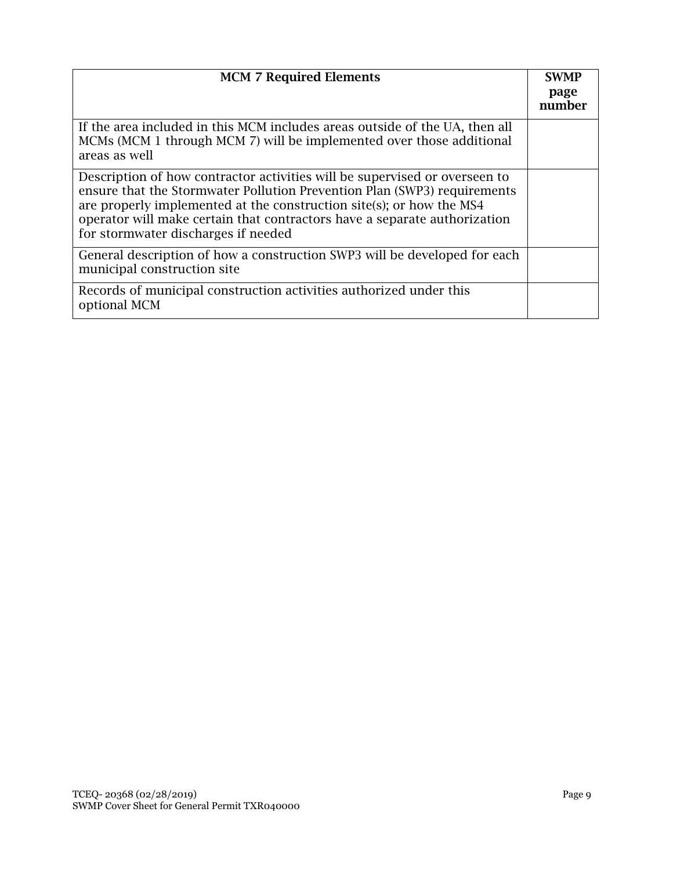| <b>MCM 7 Required Elements</b>                                                                                                                                                                                                                                                                                                                     | <b>SWMP</b><br>page<br>number |
|----------------------------------------------------------------------------------------------------------------------------------------------------------------------------------------------------------------------------------------------------------------------------------------------------------------------------------------------------|-------------------------------|
| If the area included in this MCM includes areas outside of the UA, then all<br>MCMs (MCM 1 through MCM 7) will be implemented over those additional<br>areas as well                                                                                                                                                                               |                               |
| Description of how contractor activities will be supervised or overseen to<br>ensure that the Stormwater Pollution Prevention Plan (SWP3) requirements<br>are properly implemented at the construction site(s); or how the MS4<br>operator will make certain that contractors have a separate authorization<br>for stormwater discharges if needed |                               |
| General description of how a construction SWP3 will be developed for each<br>municipal construction site                                                                                                                                                                                                                                           |                               |
| Records of municipal construction activities authorized under this<br>optional MCM                                                                                                                                                                                                                                                                 |                               |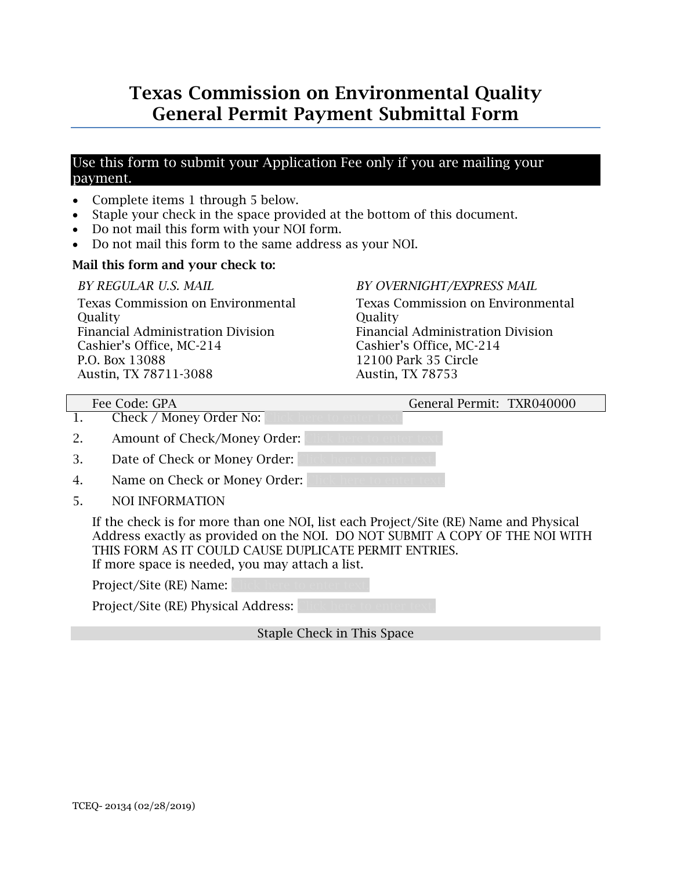# Texas Commission on Environmental Quality General Permit Payment Submittal Form

# Use this form to submit your Application Fee only if you are mailing your payment.

- Complete items 1 through 5 below.
- Staple your check in the space provided at the bottom of this document.
- Do not mail this form with your NOI form.
- Do not mail this form to the same address as your NOI.

# Mail this form and your check to:

### *BY REGULAR U.S. MAIL*

Texas Commission on Environmental **Ouality** Financial Administration Division Cashier's Office, MC-214 P.O. Box 13088 Austin, TX 78711-3088

# *BY OVERNIGHT/EXPRESS MAIL*

Texas Commission on Environmental **Ouality** Financial Administration Division Cashier's Office, MC-214 12100 Park 35 Circle Austin, TX 78753

Fee Code: GPA General Permit: TXR040000

- 1. Check / Money Order No:
- 2. Amount of Check/Money Order:
- 3. Date of Check or Money Order:
- 4. Name on Check or Money Order:
- 5. NOI INFORMATION

If the check is for more than one NOI, list each Project/Site (RE) Name and Physical Address exactly as provided on the NOI. DO NOT SUBMIT A COPY OF THE NOI WITH THIS FORM AS IT COULD CAUSE DUPLICATE PERMIT ENTRIES. If more space is needed, you may attach a list.

Project/Site (RE) Name:

Project/Site (RE) Physical Address:

Staple Check in This Space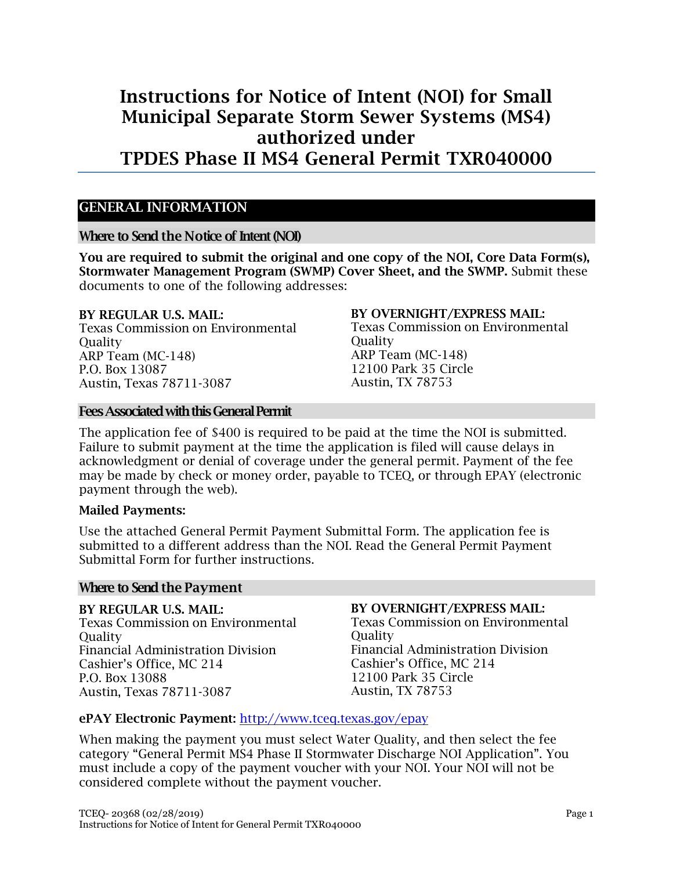# Instructions for Notice of Intent (NOI) for Small Municipal Separate Storm Sewer Systems (MS4) authorized under TPDES Phase II MS4 General Permit TXR040000

# <span id="page-17-0"></span>GENERAL INFORMATION

#### Where to Send the Notice of Intent(NOI)

You are required to submit the original and one copy of the NOI, Core Data Form(s), Stormwater Management Program (SWMP) Cover Sheet, and the SWMP. Submit these documents to one of the following addresses:

#### BY REGULAR U.S. MAIL:

Texas Commission on Environmental **Ouality** ARP Team (MC-148) P.O. Box 13087 Austin, Texas 78711-3087

#### Fees Associated with this General Permit

#### BY OVERNIGHT/EXPRESS MAIL:

Texas Commission on Environmental **Quality** ARP Team (MC-148) 12100 Park 35 Circle Austin, TX 78753

The application fee of \$400 is required to be paid at the time the NOI is submitted. Failure to submit payment at the time the application is filed will cause delays in acknowledgment or denial of coverage under the general permit. Payment of the fee may be made by check or money order, payable to TCEQ, or through EPAY (electronic payment through the web).

#### Mailed Payments:

Use the attached General Permit Payment Submittal Form. The application fee is submitted to a different address than the NOI. Read the General Permit Payment Submittal Form for further instructions.

#### Where to Send the Payment

BY REGULAR U.S. MAIL: Texas Commission on Environmental **Ouality** Financial Administration Division Cashier's Office, MC 214 P.O. Box 13088 Austin, Texas 78711-3087

#### BY OVERNIGHT/EXPRESS MAIL:

Texas Commission on Environmental **Ouality** Financial Administration Division Cashier's Office, MC 214 12100 Park 35 Circle Austin, TX 78753

#### ePAY Electronic Payment: <http://www.tceq.texas.gov/epay>

When making the payment you must select Water Quality, and then select the fee category "General Permit MS4 Phase II Stormwater Discharge NOI Application". You must include a copy of the payment voucher with your NOI. Your NOI will not be considered complete without the payment voucher.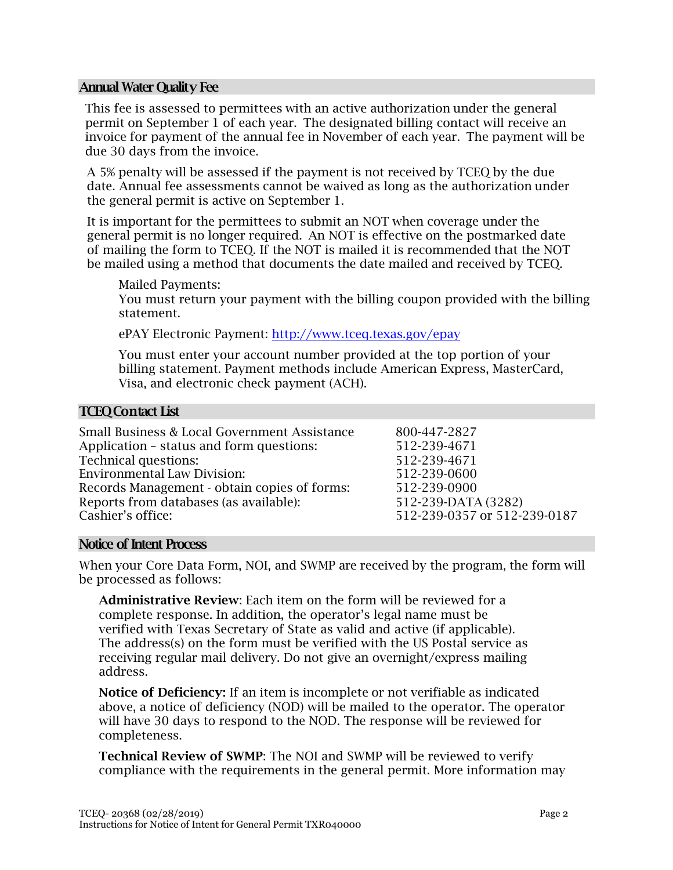#### Annual Water Quality Fee

This fee is assessed to permittees with an active authorization under the general permit on September 1 of each year. The designated billing contact will receive an invoice for payment of the annual fee in November of each year. The payment will be due 30 days from the invoice.

A 5% penalty will be assessed if the payment is not received by TCEQ by the due date. Annual fee assessments cannot be waived as long as the authorization under the general permit is active on September 1.

It is important for the permittees to submit an NOT when coverage under the general permit is no longer required. An NOT is effective on the postmarked date of mailing the form to TCEQ. If the NOT is mailed it is recommended that the NOT be mailed using a method that documents the date mailed and received by TCEQ.

Mailed Payments:

You must return your payment with the billing coupon provided with the billing statement.

ePAY Electronic Payment:<http://www.tceq.texas.gov/epay>

You must enter your account number provided at the top portion of your billing statement. Payment methods include American Express, MasterCard, Visa, and electronic check payment (ACH).

#### TCEQ Contact List

| Small Business & Local Government Assistance | 800-447-2827                 |
|----------------------------------------------|------------------------------|
| Application – status and form questions:     | 512-239-4671                 |
| <b>Technical questions:</b>                  | 512-239-4671                 |
| <b>Environmental Law Division:</b>           | 512-239-0600                 |
| Records Management - obtain copies of forms: | 512-239-0900                 |
| Reports from databases (as available):       | 512-239-DATA (3282)          |
| Cashier's office:                            | 512-239-0357 or 512-239-0187 |
|                                              |                              |

#### Notice of Intent Process

When your Core Data Form, NOI, and SWMP are received by the program, the form will be processed as follows:

Administrative Review: Each item on the form will be reviewed for a complete response. In addition, the operator's legal name must be verified with Texas Secretary of State as valid and active (if applicable). The address(s) on the form must be verified with the US Postal service as receiving regular mail delivery. Do not give an overnight/express mailing address.

Notice of Deficiency: If an item is incomplete or not verifiable as indicated above, a notice of deficiency (NOD) will be mailed to the operator. The operator will have 30 days to respond to the NOD. The response will be reviewed for completeness.

Technical Review of SWMP: The NOI and SWMP will be reviewed to verify compliance with the requirements in the general permit. More information may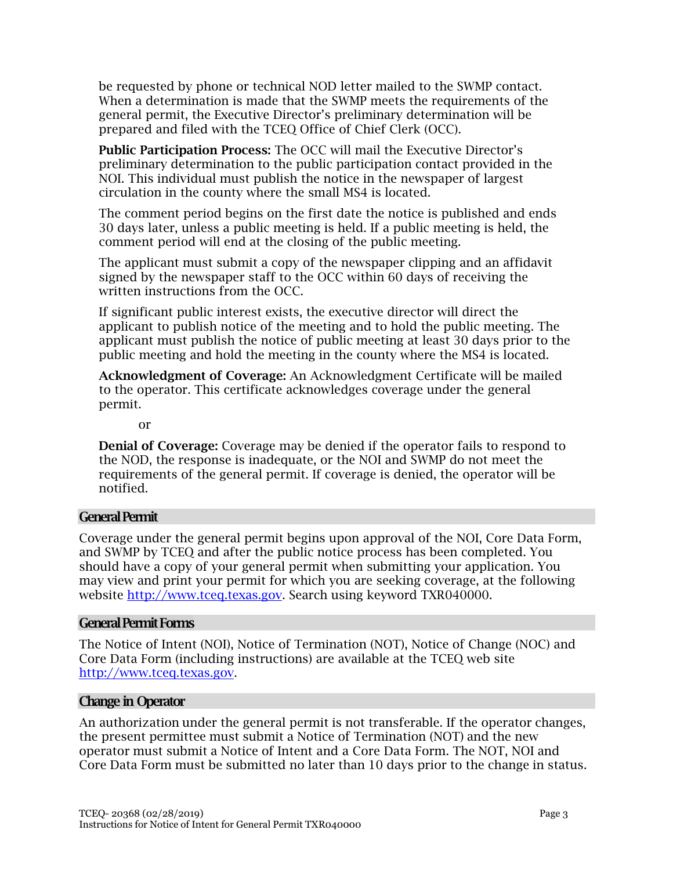be requested by phone or technical NOD letter mailed to the SWMP contact. When a determination is made that the SWMP meets the requirements of the general permit, the Executive Director's preliminary determination will be prepared and filed with the TCEQ Office of Chief Clerk (OCC).

Public Participation Process: The OCC will mail the Executive Director's preliminary determination to the public participation contact provided in the NOI. This individual must publish the notice in the newspaper of largest circulation in the county where the small MS4 is located.

The comment period begins on the first date the notice is published and ends 30 days later, unless a public meeting is held. If a public meeting is held, the comment period will end at the closing of the public meeting.

The applicant must submit a copy of the newspaper clipping and an affidavit signed by the newspaper staff to the OCC within 60 days of receiving the written instructions from the OCC.

If significant public interest exists, the executive director will direct the applicant to publish notice of the meeting and to hold the public meeting. The applicant must publish the notice of public meeting at least 30 days prior to the public meeting and hold the meeting in the county where the MS4 is located.

Acknowledgment of Coverage: An Acknowledgment Certificate will be mailed to the operator. This certificate acknowledges coverage under the general permit.

or

Denial of Coverage: Coverage may be denied if the operator fails to respond to the NOD, the response is inadequate, or the NOI and SWMP do not meet the requirements of the general permit. If coverage is denied, the operator will be notified.

# General Permit

Coverage under the general permit begins upon approval of the NOI, Core Data Form, and SWMP by TCEQ and after the public notice process has been completed. You should have a copy of your general permit when submitting your application. You may view and print your permit for which you are seeking coverage, at the following website [http://www.tceq.texas.gov.](http://www.tceq.texas.gov/) Search using keyword TXR040000.

#### General Permit Forms

The Notice of Intent (NOI), Notice of Termination (NOT), Notice of Change (NOC) and Core Data Form (including instructions) are available at the TCEQ web site [http://www.tceq.texas.gov.](http://www.tceq.texas.gov/)

# Change in Operator

An authorization under the general permit is not transferable. If the operator changes, the present permittee must submit a Notice of Termination (NOT) and the new operator must submit a Notice of Intent and a Core Data Form. The NOT, NOI and Core Data Form must be submitted no later than 10 days prior to the change in status.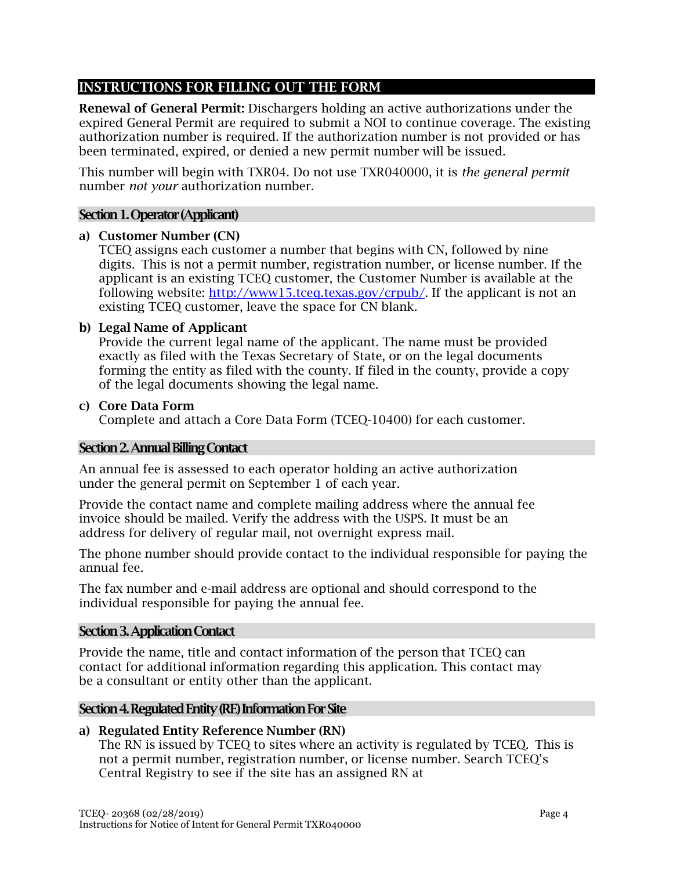# INSTRUCTIONS FOR FILLING OUT THE FORM

Renewal of General Permit: Dischargers holding an active authorizations under the expired General Permit are required to submit a NOI to continue coverage. The existing authorization number is required. If the authorization number is not provided or has been terminated, expired, or denied a new permit number will be issued.

This number will begin with TXR04. Do not use TXR040000, it is *the general permit* number *not your* authorization number.

## Section 1. Operator (Applicant)

#### a) Customer Number (CN)

TCEQ assigns each customer a number that begins with CN, followed by nine digits. This is not a permit number, registration number, or license number. If the applicant is an existing TCEQ customer, the Customer Number is available at the following website: [http://www15.tceq.texas.gov/crpub/.](http://www15.tceq.texas.gov/crpub/) If the applicant is not an existing TCEQ customer, leave the space for CN blank.

#### b) Legal Name of Applicant

Provide the current legal name of the applicant. The name must be provided exactly as filed with the Texas Secretary of State, or on the legal documents forming the entity as filed with the county. If filed in the county, provide a copy of the legal documents showing the legal name.

#### c) Core Data Form

Complete and attach a Core Data Form (TCEQ-10400) for each customer.

#### Section 2. Annual Billing Contact

An annual fee is assessed to each operator holding an active authorization under the general permit on September 1 of each year.

Provide the contact name and complete mailing address where the annual fee invoice should be mailed. Verify the address with the USPS. It must be an address for delivery of regular mail, not overnight express mail.

The phone number should provide contact to the individual responsible for paying the annual fee.

The fax number and e-mail address are optional and should correspond to the individual responsible for paying the annual fee.

#### Section 3. Application Contact

Provide the name, title and contact information of the person that TCEQ can contact for additional information regarding this application. This contact may be a consultant or entity other than the applicant.

#### Section 4. Regulated Entity (RE) Information For Site

#### a) Regulated Entity Reference Number (RN)

The RN is issued by TCEQ to sites where an activity is regulated by TCEQ. This is not a permit number, registration number, or license number. Search TCEQ's Central Registry to see if the site has an assigned RN at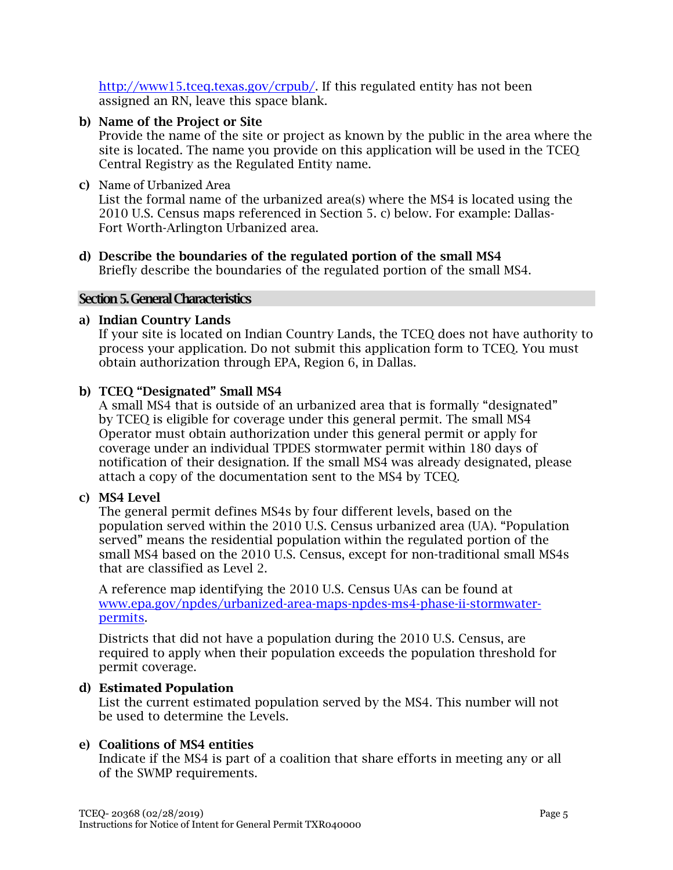[http://www15.tceq.texas.gov/crpub/.](http://www15.tceq.texas.gov/crpub/) If this regulated entity has not been assigned an RN, leave this space blank.

### b) Name of the Project or Site

Provide the name of the site or project as known by the public in the area where the site is located. The name you provide on this application will be used in the TCEQ Central Registry as the Regulated Entity name.

#### c) Name of Urbanized Area

List the formal name of the urbanized area(s) where the MS4 is located using the 2010 U.S. Census maps referenced in Section 5. c) below. For example: Dallas-Fort Worth-Arlington Urbanized area.

d) Describe the boundaries of the regulated portion of the small MS4 Briefly describe the boundaries of the regulated portion of the small MS4.

#### Section 5. General Characteristics

#### a) Indian Country Lands

If your site is located on Indian Country Lands, the TCEQ does not have authority to process your application. Do not submit this application form to TCEQ. You must obtain authorization through EPA, Region 6, in Dallas.

#### b) TCEQ "Designated" Small MS4

A small MS4 that is outside of an urbanized area that is formally "designated" by TCEQ is eligible for coverage under this general permit. The small MS4 Operator must obtain authorization under this general permit or apply for coverage under an individual TPDES stormwater permit within 180 days of notification of their designation. If the small MS4 was already designated, please attach a copy of the documentation sent to the MS4 by TCEQ.

#### c) MS4 Level

The general permit defines MS4s by four different levels, based on the population served within the 2010 U.S. Census urbanized area (UA). "Population served" means the residential population within the regulated portion of the small MS4 based on the 2010 U.S. Census, except for non-traditional small MS4s that are classified as Level 2.

A reference map identifying the 2010 U.S. Census UAs can be found at [www.epa.gov/npdes/urbanized-area-maps-npdes-ms4-phase-ii-stormwater](http://www.epa.gov/npdes/urbanized-area-maps-npdes-ms4-phase-ii-stormwater-permits)[permits.](http://www.epa.gov/npdes/urbanized-area-maps-npdes-ms4-phase-ii-stormwater-permits)

Districts that did not have a population during the 2010 U.S. Census, are required to apply when their population exceeds the population threshold for permit coverage.

# d) **Estimated Population**

List the current estimated population served by the MS4. This number will not be used to determine the Levels.

# e) Coalitions of MS4 entities

Indicate if the MS4 is part of a coalition that share efforts in meeting any or all of the SWMP requirements.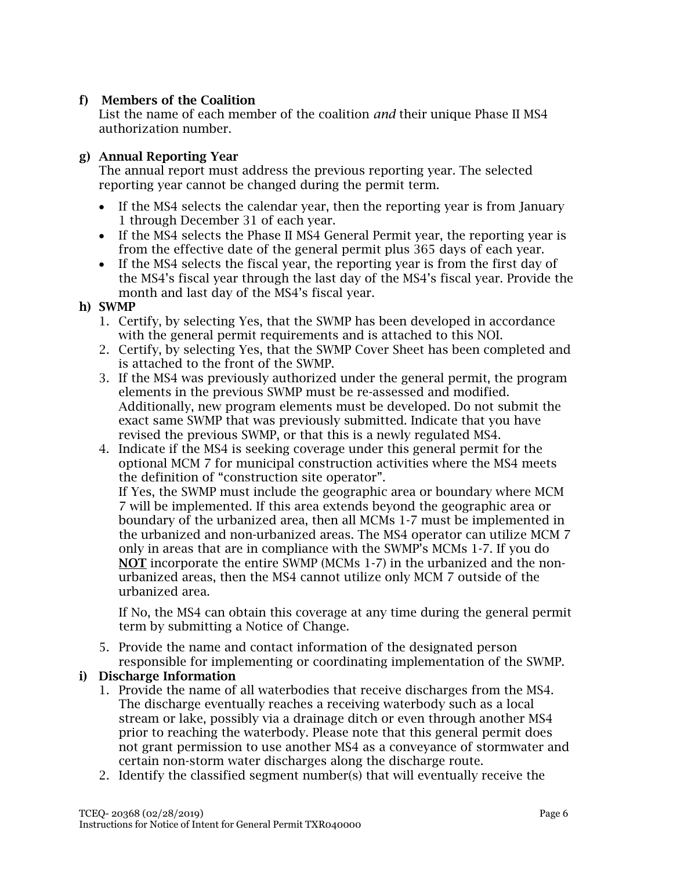# f) Members of the Coalition

List the name of each member of the coalition *and* their unique Phase II MS4 authorization number.

# g) Annual Reporting Year

The annual report must address the previous reporting year. The selected reporting year cannot be changed during the permit term.

- If the MS4 selects the calendar year, then the reporting year is from January 1 through December 31 of each year.
- If the MS4 selects the Phase II MS4 General Permit year, the reporting year is from the effective date of the general permit plus 365 days of each year.
- If the MS4 selects the fiscal year, the reporting year is from the first day of the MS4's fiscal year through the last day of the MS4's fiscal year. Provide the month and last day of the MS4's fiscal year.

### h) SWMP

- 1. Certify, by selecting Yes, that the SWMP has been developed in accordance with the general permit requirements and is attached to this NOI.
- 2. Certify, by selecting Yes, that the SWMP Cover Sheet has been completed and is attached to the front of the SWMP.
- 3. If the MS4 was previously authorized under the general permit, the program elements in the previous SWMP must be re-assessed and modified. Additionally, new program elements must be developed. Do not submit the exact same SWMP that was previously submitted. Indicate that you have revised the previous SWMP, or that this is a newly regulated MS4.
- 4. Indicate if the MS4 is seeking coverage under this general permit for the optional MCM 7 for municipal construction activities where the MS4 meets the definition of "construction site operator".

If Yes, the SWMP must include the geographic area or boundary where MCM 7 will be implemented. If this area extends beyond the geographic area or boundary of the urbanized area, then all MCMs 1-7 must be implemented in the urbanized and non-urbanized areas. The MS4 operator can utilize MCM 7 only in areas that are in compliance with the SWMP's MCMs 1-7. If you do NOT incorporate the entire SWMP (MCMs 1-7) in the urbanized and the nonurbanized areas, then the MS4 cannot utilize only MCM 7 outside of the urbanized area.

If No, the MS4 can obtain this coverage at any time during the general permit term by submitting a Notice of Change.

5. Provide the name and contact information of the designated person responsible for implementing or coordinating implementation of the SWMP.

# i) Discharge Information

- 1. Provide the name of all waterbodies that receive discharges from the MS4. The discharge eventually reaches a receiving waterbody such as a local stream or lake, possibly via a drainage ditch or even through another MS4 prior to reaching the waterbody. Please note that this general permit does not grant permission to use another MS4 as a conveyance of stormwater and certain non-storm water discharges along the discharge route.
- 2. Identify the classified segment number(s) that will eventually receive the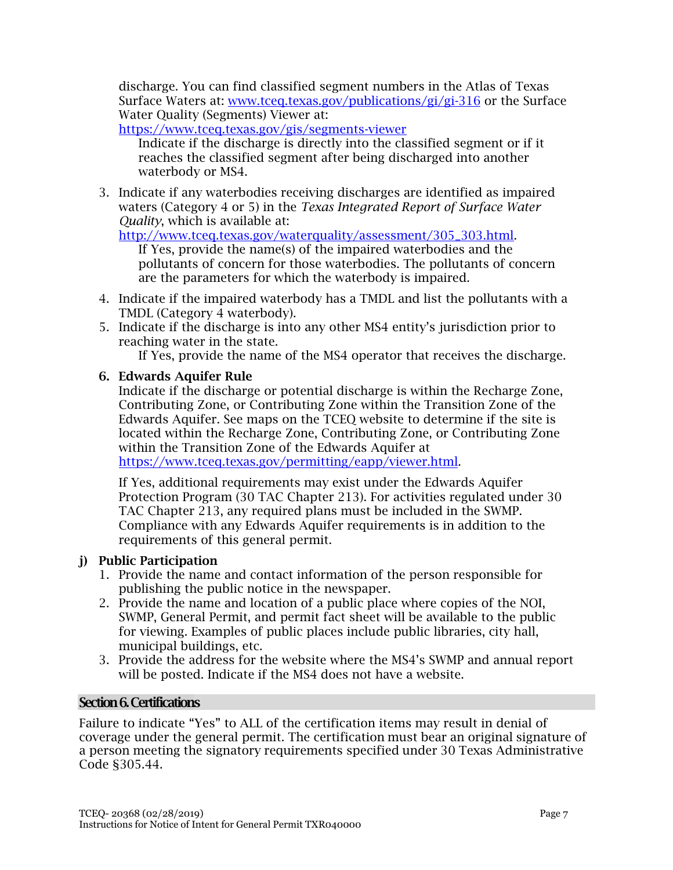discharge. You can find classified segment numbers in the Atlas of Texas Surface Waters at: [www.tceq.texas.gov/publications/gi/gi-316](http://www.tceq.texas.gov/publications/gi/gi-316) or the Surface Water Quality (Segments) Viewer at:

<https://www.tceq.texas.gov/gis/segments-viewer>

Indicate if the discharge is directly into the classified segment or if it reaches the classified segment after being discharged into another waterbody or MS4.

3. Indicate if any waterbodies receiving discharges are identified as impaired waters (Category 4 or 5) in the *Texas Integrated Report of Surface Water Quality*, which is available at:

[http://www.tceq.texas.gov/waterquality/assessment/305\\_303.html.](http://www.tceq.texas.gov/waterquality/assessment/305_303.html)

If Yes, provide the name(s) of the impaired waterbodies and the pollutants of concern for those waterbodies. The pollutants of concern are the parameters for which the waterbody is impaired.

- 4. Indicate if the impaired waterbody has a TMDL and list the pollutants with a TMDL (Category 4 waterbody).
- 5. Indicate if the discharge is into any other MS4 entity's jurisdiction prior to reaching water in the state.

If Yes, provide the name of the MS4 operator that receives the discharge.

# 6. Edwards Aquifer Rule

Indicate if the discharge or potential discharge is within the Recharge Zone, Contributing Zone, or Contributing Zone within the Transition Zone of the Edwards Aquifer. See maps on the TCEQ website to determine if the site is located within the Recharge Zone, Contributing Zone, or Contributing Zone within the Transition Zone of the Edwards Aquifer at [https://www.tceq.texas.gov/permitting/eapp/viewer.html.](https://www.tceq.texas.gov/permitting/eapp/viewer.html)

If Yes, additional requirements may exist under the Edwards Aquifer Protection Program (30 TAC Chapter 213). For activities regulated under 30 TAC Chapter 213, any required plans must be included in the SWMP. Compliance with any Edwards Aquifer requirements is in addition to the requirements of this general permit.

# j) Public Participation

- 1. Provide the name and contact information of the person responsible for publishing the public notice in the newspaper.
- 2. Provide the name and location of a public place where copies of the NOI, SWMP, General Permit, and permit fact sheet will be available to the public for viewing. Examples of public places include public libraries, city hall, municipal buildings, etc.
- 3. Provide the address for the website where the MS4's SWMP and annual report will be posted. Indicate if the MS4 does not have a website.

# Section 6. Certifications

Failure to indicate "Yes" to ALL of the certification items may result in denial of coverage under the general permit. The certification must bear an original signature of a person meeting the signatory requirements specified under 30 Texas Administrative Code §305.44.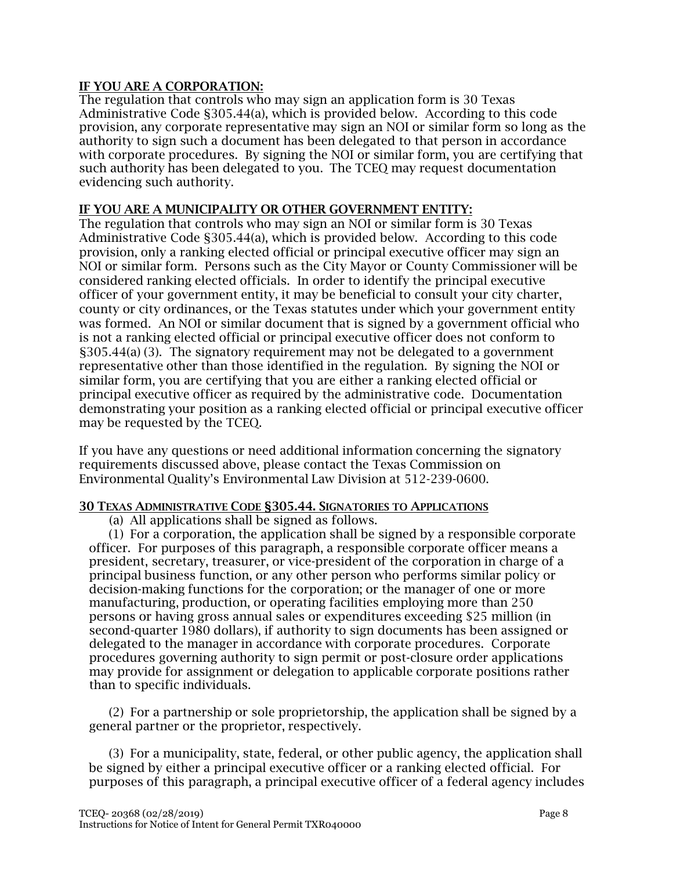## IF YOU ARE A CORPORATION:

The regulation that controls who may sign an application form is 30 Texas Administrative Code §305.44(a), which is provided below. According to this code provision, any corporate representative may sign an NOI or similar form so long as the authority to sign such a document has been delegated to that person in accordance with corporate procedures. By signing the NOI or similar form, you are certifying that such authority has been delegated to you. The TCEQ may request documentation evidencing such authority.

#### IF YOU ARE A MUNICIPALITY OR OTHER GOVERNMENT ENTITY:

The regulation that controls who may sign an NOI or similar form is 30 Texas Administrative Code §305.44(a), which is provided below. According to this code provision, only a ranking elected official or principal executive officer may sign an NOI or similar form. Persons such as the City Mayor or County Commissioner will be considered ranking elected officials. In order to identify the principal executive officer of your government entity, it may be beneficial to consult your city charter, county or city ordinances, or the Texas statutes under which your government entity was formed. An NOI or similar document that is signed by a government official who is not a ranking elected official or principal executive officer does not conform to §305.44(a) (3). The signatory requirement may not be delegated to a government representative other than those identified in the regulation. By signing the NOI or similar form, you are certifying that you are either a ranking elected official or principal executive officer as required by the administrative code. Documentation demonstrating your position as a ranking elected official or principal executive officer may be requested by the TCEQ.

If you have any questions or need additional information concerning the signatory requirements discussed above, please contact the Texas Commission on Environmental Quality's Environmental Law Division at 512-239-0600.

#### 30 TEXAS ADMINISTRATIVE CODE §305.44. SIGNATORIES TO APPLICATIONS

(a) All applications shall be signed as follows.

(1) For a corporation, the application shall be signed by a responsible corporate officer. For purposes of this paragraph, a responsible corporate officer means a president, secretary, treasurer, or vice-president of the corporation in charge of a principal business function, or any other person who performs similar policy or decision-making functions for the corporation; or the manager of one or more manufacturing, production, or operating facilities employing more than 250 persons or having gross annual sales or expenditures exceeding \$25 million (in second-quarter 1980 dollars), if authority to sign documents has been assigned or delegated to the manager in accordance with corporate procedures. Corporate procedures governing authority to sign permit or post-closure order applications may provide for assignment or delegation to applicable corporate positions rather than to specific individuals.

(2) For a partnership or sole proprietorship, the application shall be signed by a general partner or the proprietor, respectively.

(3) For a municipality, state, federal, or other public agency, the application shall be signed by either a principal executive officer or a ranking elected official. For purposes of this paragraph, a principal executive officer of a federal agency includes